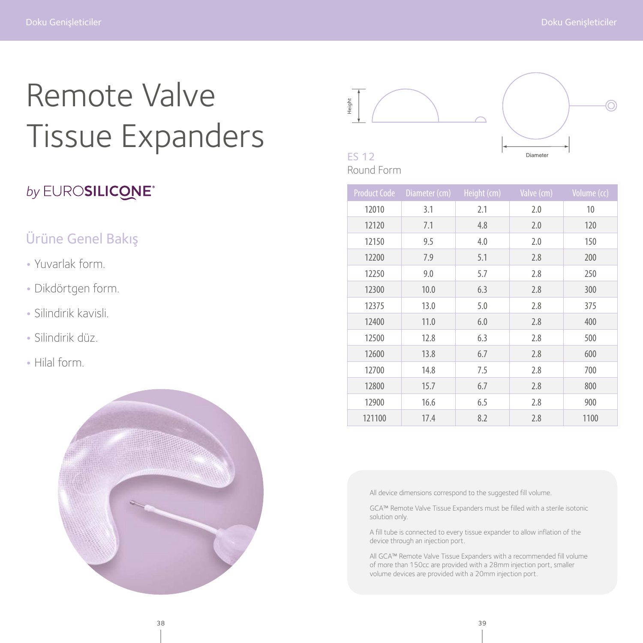# Remote Valve Tissue Expanders

# by EUROSILICONE<sup>®</sup>

### Ürüne Genel Bakış

- Yuvarlak form.
- Dikdörtgen form.
- Silindirik kavisli.
- Silindirik düz.
- Hilal form.





# Round Form

| <b>Product Code</b> | Diameter (cm) | Height (cm) | Valve (cm) | Volume (cc) |
|---------------------|---------------|-------------|------------|-------------|
| 12010               | 3.1           | 2.1         | 2.0        | 10          |
| 12120               | 7.1           | 4.8         | 2.0        | 120         |
| 12150               | 9.5           | 4.0         | 2.0        | 150         |
| 12200               | 7.9           | 5.1         | 2.8        | 200         |
| 12250               | 9.0           | 5.7         | 2.8        | 250         |
| 12300               | 10.0          | 6.3         | 2.8        | 300         |
| 12375               | 13.0          | 5.0         | 2.8        | 375         |
| 12400               | 11.0          | 6.0         | 2.8        | 400         |
| 12500               | 12.8          | 6.3         | 2.8        | 500         |
| 12600               | 13.8          | 6.7         | 2.8        | 600         |
| 12700               | 14.8          | 7.5         | 2.8        | 700         |
| 12800               | 15.7          | 6.7         | 2.8        | 800         |
| 12900               | 16.6          | 6.5         | 2.8        | 900         |
| 121100              | 17.4          | 8.2         | 2.8        | 1100        |

All device dimensions correspond to the suggested fill volume.

GCA™ Remote Valve Tissue Expanders must be filled with a sterile isotonic solution only.

A fill tube is connected to every tissue expander to allow inflation of the device through an injection port.

All GCA™ Remote Valve Tissue Expanders with a recommended fill volume of more than 150cc are provided with a 28mm injection port, smaller volume devices are provided with a 20mm injection port.